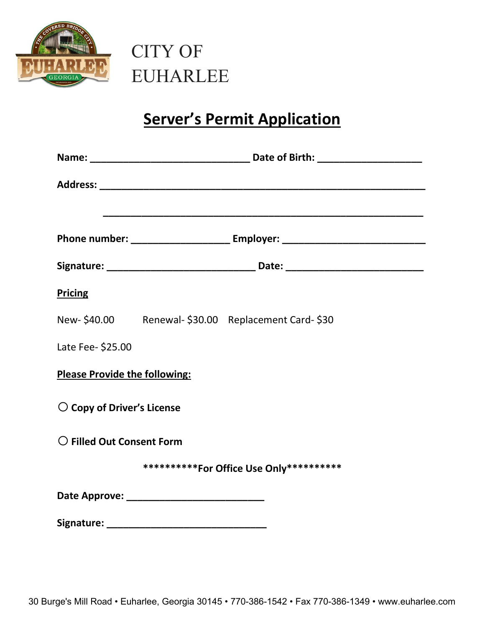



## **Server's Permit Application**

|                                           | <u> 1989 - Johann John Stoff, deutscher Stoffen und der Stoffen und der Stoffen und der Stoffen und der Stoffen un</u><br>Phone number: ___________________________ Employer: ____________________________ |  |
|-------------------------------------------|------------------------------------------------------------------------------------------------------------------------------------------------------------------------------------------------------------|--|
|                                           |                                                                                                                                                                                                            |  |
| <b>Pricing</b>                            |                                                                                                                                                                                                            |  |
|                                           | New-\$40.00 Renewal-\$30.00 Replacement Card-\$30                                                                                                                                                          |  |
| Late Fee- \$25.00                         |                                                                                                                                                                                                            |  |
| <b>Please Provide the following:</b>      |                                                                                                                                                                                                            |  |
| $\bigcirc$ Copy of Driver's License       |                                                                                                                                                                                                            |  |
| $\bigcirc$ Filled Out Consent Form        |                                                                                                                                                                                                            |  |
| ***********For Office Use Only*********** |                                                                                                                                                                                                            |  |
|                                           |                                                                                                                                                                                                            |  |
|                                           |                                                                                                                                                                                                            |  |